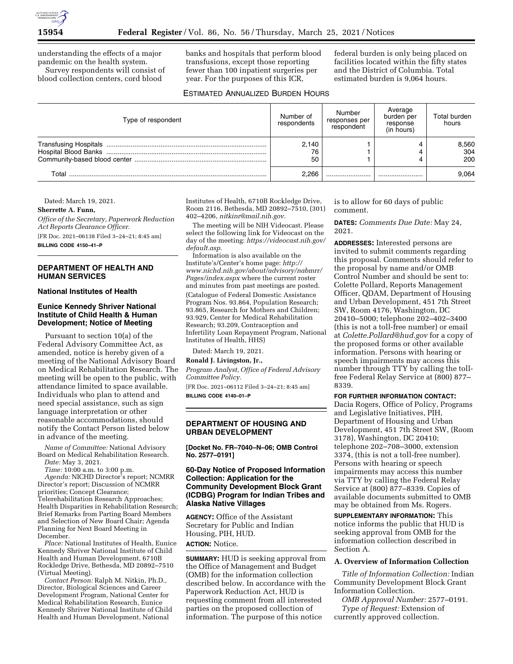

understanding the effects of a major pandemic on the health system.

Survey respondents will consist of blood collection centers, cord blood

banks and hospitals that perform blood transfusions, except those reporting fewer than 100 inpatient surgeries per year. For the purposes of this ICR,

federal burden is only being placed on facilities located within the fifty states and the District of Columbia. Total estimated burden is 9,064 hours.

## ESTIMATED ANNUALIZED BURDEN HOURS

| Type of respondent | Number of<br>respondents | Number<br>responses per<br>respondent | Average<br>burden per<br>response<br>(in hours) | Total burden<br>hours |
|--------------------|--------------------------|---------------------------------------|-------------------------------------------------|-----------------------|
|                    | 2.140                    |                                       |                                                 | 8,560                 |
|                    | 76                       |                                       |                                                 | 304                   |
|                    | 50                       |                                       |                                                 | 200                   |
| Total              | 2.266                    |                                       |                                                 | 9.064                 |

Dated: March 19, 2021.

#### **Sherrette A. Funn,**

*Office of the Secretary, Paperwork Reduction Act Reports Clearance Officer.* 

[FR Doc. 2021–06138 Filed 3–24–21; 8:45 am] **BILLING CODE 4150–41–P** 

## **DEPARTMENT OF HEALTH AND HUMAN SERVICES**

#### **National Institutes of Health**

## **Eunice Kennedy Shriver National Institute of Child Health & Human Development; Notice of Meeting**

Pursuant to section 10(a) of the Federal Advisory Committee Act, as amended, notice is hereby given of a meeting of the National Advisory Board on Medical Rehabilitation Research. The meeting will be open to the public, with attendance limited to space available. Individuals who plan to attend and need special assistance, such as sign language interpretation or other reasonable accommodations, should notify the Contact Person listed below in advance of the meeting.

*Name of Committee:* National Advisory Board on Medical Rehabilitation Research. *Date:* May 3, 2021.

*Time:* 10:00 a.m. to 3:00 p.m.

*Agenda:* NICHD Director's report; NCMRR Director's report; Discussion of NCMRR priorities; Concept Clearance; Telerehabilitation Research Approaches; Health Disparities in Rehabilitation Research; Brief Remarks from Parting Board Members and Selection of New Board Chair; Agenda Planning for Next Board Meeting in December.

*Place:* National Institutes of Health, Eunice Kennedy Shriver National Institute of Child Health and Human Development, 6710B Rockledge Drive, Bethesda, MD 20892–7510 (Virtual Meeting).

*Contact Person:* Ralph M. Nitkin, Ph.D., Director, Biological Sciences and Career Development Program, National Center for Medical Rehabilitation Research, Eunice Kennedy Shriver National Institute of Child Health and Human Development, National

Institutes of Health, 6710B Rockledge Drive, Room 2116, Bethesda, MD 20892–7510, (301) 402–4206, *[nitkinr@mail.nih.gov.](mailto:nitkinr@mail.nih.gov)* 

The meeting will be NIH Videocast. Please select the following link for Videocast on the day of the meeting: *[https://videocast.nih.gov/](https://videocast.nih.gov/default.asp)  [default.asp.](https://videocast.nih.gov/default.asp)* 

Information is also available on the Institute's/Center's home page: *[http://](http://www.nichd.nih.gov/about/advisory/nabmrr/Pages/index.aspx) [www.nichd.nih.gov/about/advisory/nabmrr/](http://www.nichd.nih.gov/about/advisory/nabmrr/Pages/index.aspx)  [Pages/index.aspx](http://www.nichd.nih.gov/about/advisory/nabmrr/Pages/index.aspx)* where the current roster and minutes from past meetings are posted.

(Catalogue of Federal Domestic Assistance Program Nos. 93.864, Population Research; 93.865, Research for Mothers and Children; 93.929, Center for Medical Rehabilitation Research; 93.209, Contraception and Infertility Loan Repayment Program, National Institutes of Health, HHS)

Dated: March 19, 2021.

#### **Ronald J. Livingston, Jr.,**

*Program Analyst, Office of Federal Advisory Committee Policy.* 

[FR Doc. 2021–06112 Filed 3–24–21; 8:45 am] **BILLING CODE 4140–01–P** 

#### **DEPARTMENT OF HOUSING AND URBAN DEVELOPMENT**

**[Docket No. FR–7040–N–06; OMB Control No. 2577–0191]** 

### **60-Day Notice of Proposed Information Collection: Application for the Community Development Block Grant (ICDBG) Program for Indian Tribes and Alaska Native Villages**

**AGENCY:** Office of the Assistant Secretary for Public and Indian Housing, PIH, HUD.

**ACTION:** Notice.

**SUMMARY:** HUD is seeking approval from the Office of Management and Budget (OMB) for the information collection described below. In accordance with the Paperwork Reduction Act, HUD is requesting comment from all interested parties on the proposed collection of information. The purpose of this notice

is to allow for 60 days of public comment.

**DATES:** *Comments Due Date:* May 24, 2021.

**ADDRESSES:** Interested persons are invited to submit comments regarding this proposal. Comments should refer to the proposal by name and/or OMB Control Number and should be sent to: Colette Pollard, Reports Management Officer, QDAM, Department of Housing and Urban Development, 451 7th Street SW, Room 4176, Washington, DC 20410–5000; telephone 202–402–3400 (this is not a toll-free number) or email at *[Colette.Pollard@hud.gov](mailto:Colette.Pollard@hud.gov)* for a copy of the proposed forms or other available information. Persons with hearing or speech impairments may access this number through TTY by calling the tollfree Federal Relay Service at (800) 877– 8339.

## **FOR FURTHER INFORMATION CONTACT:**

Dacia Rogers, Office of Policy, Programs and Legislative Initiatives, PIH, Department of Housing and Urban Development, 451 7th Street SW, (Room 3178), Washington, DC 20410; telephone 202–708–3000, extension 3374, (this is not a toll-free number). Persons with hearing or speech impairments may access this number via TTY by calling the Federal Relay Service at (800) 877–8339. Copies of available documents submitted to OMB may be obtained from Ms. Rogers.

**SUPPLEMENTARY INFORMATION:** This notice informs the public that HUD is seeking approval from OMB for the information collection described in Section A.

## **A. Overview of Information Collection**

*Title of Information Collection:* Indian Community Development Block Grant Information Collection.

*OMB Approval Number:* 2577–0191. *Type of Request:* Extension of currently approved collection.